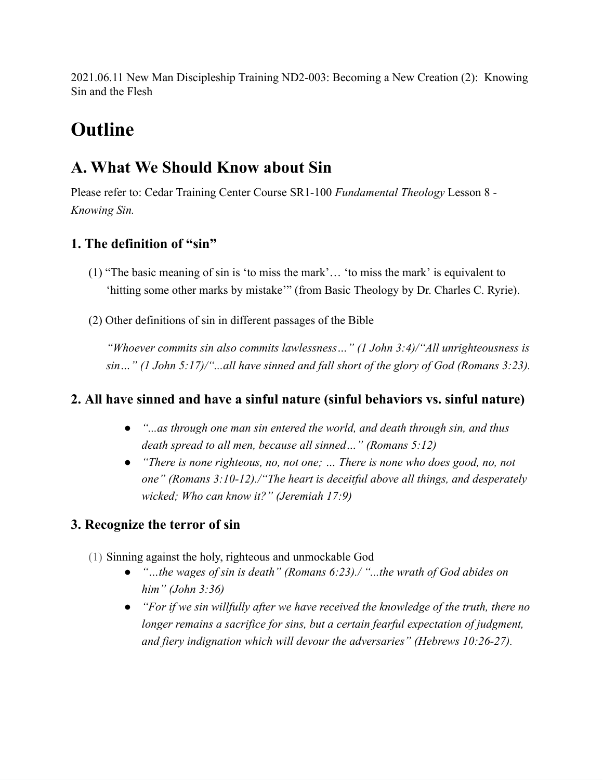2021.06.11 New Man Discipleship Training ND2-003: Becoming a New Creation (2): Knowing Sin and the Flesh

# **Outline**

# **A. What We Should Know about Sin**

Please refer to: Cedar Training Center Course SR1-100 *Fundamental Theology* Lesson 8 *- Knowing Sin.*

## **1. The definition of "sin"**

- (1) "The basic meaning of sin is 'to miss the mark'… 'to miss the mark' is equivalent to 'hitting some other marks by mistake'" (from Basic Theology by Dr. Charles C. Ryrie).
- (2) Other definitions of sin in different passages of the Bible

*"Whoever commits sin also commits lawlessness…" (1 John 3:4)/"All unrighteousness is sin…" (1 John 5:17)/"...all have sinned and fall short of the glory of God (Romans 3:23).*

### **2. All have sinned and have a sinful nature (sinful behaviors vs. sinful nature)**

- *● "...as through one man sin entered the world, and death through sin, and thus death spread to all men, because all sinned…" (Romans 5:12)*
- *● "There is none righteous, no, not one; … There is none who does good, no, not one" (Romans 3:10-12)./"The heart is deceitful above all things, and desperately wicked; Who can know it?" (Jeremiah 17:9)*

## **3. Recognize the terror of sin**

- (1) Sinning against the holy, righteous and unmockable God
	- *● "…the wages of sin is death" (Romans 6:23)./ "...the wrath of God abides on him" (John 3:36)*
	- *● "For if we sin willfully after we have received the knowledge of the truth, there no longer remains a sacrifice for sins, but a certain fearful expectation of judgment, and fiery indignation which will devour the adversaries" (Hebrews 10:26-27).*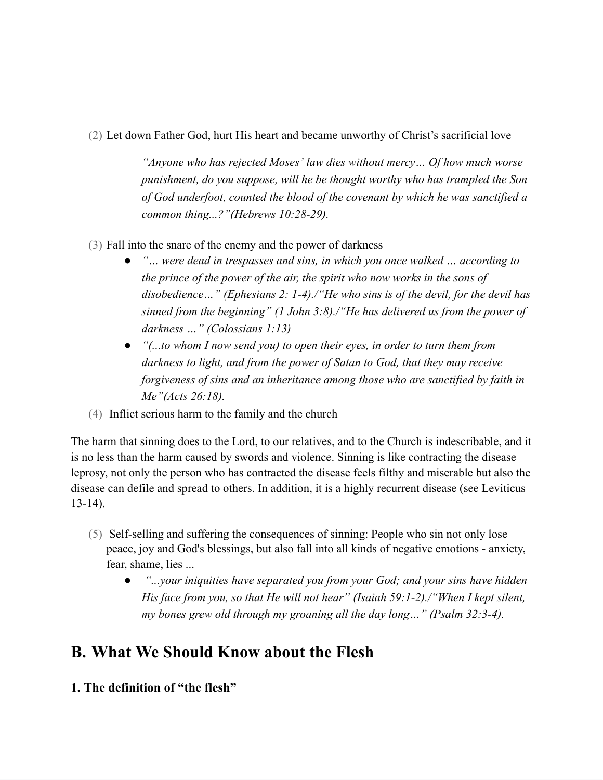#### (2) Let down Father God, hurt His heart and became unworthy of Christ's sacrificial love

*"Anyone who has rejected Moses' law dies without mercy… Of how much worse punishment, do you suppose, will he be thought worthy who has trampled the Son of God underfoot, counted the blood of the covenant by which he was sanctified a common thing...?"(Hebrews 10:28-29).*

- (3) Fall into the snare of the enemy and the power of darkness
	- *● "… were dead in trespasses and sins, in which you once walked … according to the prince of the power of the air, the spirit who now works in the sons of disobedience…" (Ephesians 2: 1-4)./"He who sins is of the devil, for the devil has sinned from the beginning" (1 John 3:8)./"He has delivered us from the power of darkness …" (Colossians 1:13)*
	- *● "(...to whom I now send you) to open their eyes, in order to turn them from darkness to light, and from the power of Satan to God, that they may receive forgiveness of sins and an inheritance among those who are sanctified by faith in Me"(Acts 26:18).*
- (4) Inflict serious harm to the family and the church

The harm that sinning does to the Lord, to our relatives, and to the Church is indescribable, and it is no less than the harm caused by swords and violence. Sinning is like contracting the disease leprosy, not only the person who has contracted the disease feels filthy and miserable but also the disease can defile and spread to others. In addition, it is a highly recurrent disease (see Leviticus 13-14).

- (5) Self-selling and suffering the consequences of sinning: People who sin not only lose peace, joy and God's blessings, but also fall into all kinds of negative emotions - anxiety, fear, shame, lies ...
	- *● "...your iniquities have separated you from your God; and your sins have hidden His face from you, so that He will not hear" (Isaiah 59:1-2)./"When I kept silent, my bones grew old through my groaning all the day long…" (Psalm 32:3-4).*

# **B. What We Should Know about the Flesh**

**1. The definition of "the flesh"**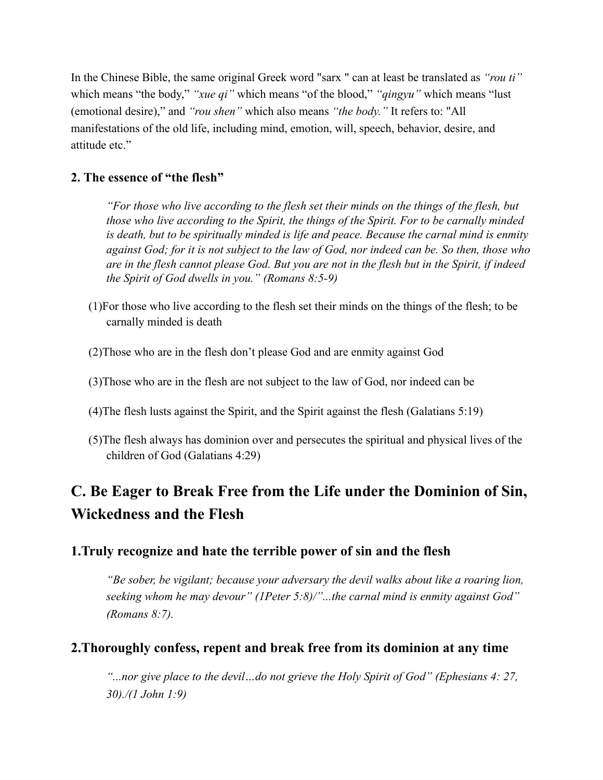In the Chinese Bible, the same original Greek word "sarx " can at least be translated as *"rou ti"* which means "the body," *"xue qi"* which means "of the blood," *"qingyu"* which means "lust (emotional desire)," and *"rou shen"* which also means *"the body."* It refers to: "All manifestations of the old life, including mind, emotion, will, speech, behavior, desire, and attitude etc."

### **2. The essence of "the flesh"**

*"For those who live according to the flesh set their minds on the things of the flesh, but those who live according to the Spirit, the things of the Spirit. For to be carnally minded is death, but to be spiritually minded is life and peace. Because the carnal mind is enmity* against God; for it is not subject to the law of God, nor indeed can be. So then, those who are in the flesh cannot please God. But you are not in the flesh but in the Spirit, if indeed *the Spirit of God dwells in you." (Romans 8:5-9)*

- (1)For those who live according to the flesh set their minds on the things of the flesh; to be carnally minded is death
- (2)Those who are in the flesh don't please God and are enmity against God
- (3)Those who are in the flesh are not subject to the law of God, nor indeed can be
- (4)The flesh lusts against the Spirit, and the Spirit against the flesh (Galatians 5:19)
- (5)The flesh always has dominion over and persecutes the spiritual and physical lives of the children of God (Galatians 4:29)

# **C. Be Eager to Break Free from the Life under the Dominion of Sin, Wickedness and the Flesh**

### **1.Truly recognize and hate the terrible power of sin and the flesh**

*"Be sober, be vigilant; because your adversary the devil walks about like a roaring lion, seeking whom he may devour" (1Peter 5:8)/"...the carnal mind is enmity against God" (Romans 8:7).*

### **2.Thoroughly confess, repent and break free from its dominion at any time**

*"...nor give place to the devil…do not grieve the Holy Spirit of God" (Ephesians 4: 27, 30)./(1 John 1:9)*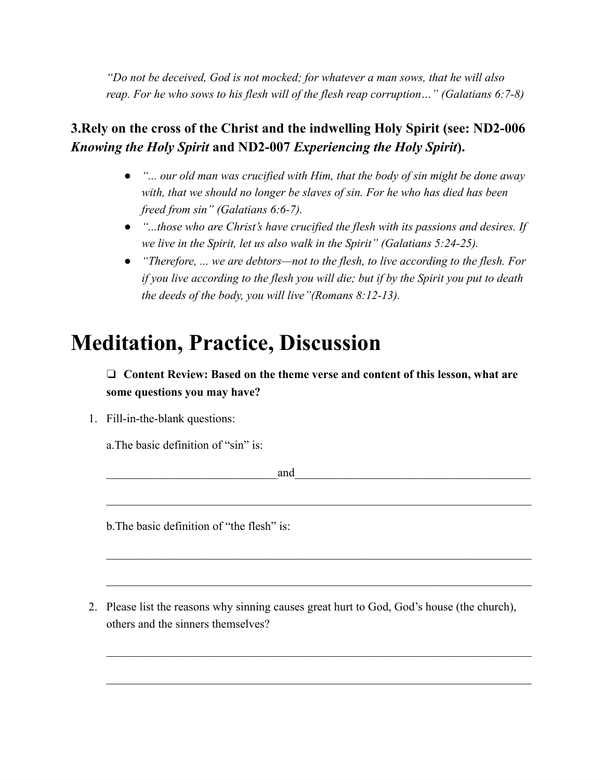*"Do not be deceived, God is not mocked; for whatever a man sows, that he will also reap. For he who sows to his flesh will of the flesh reap corruption…" (Galatians 6:7-8)*

### **3.Rely on the cross of the Christ and the indwelling Holy Spirit (see: ND2-006** *Knowing the Holy Spirit* **and ND2-007** *Experiencing the Holy Spirit***).**

- *● "... our old man was crucified with Him, that the body of sin might be done away with, that we should no longer be slaves of sin. For he who has died has been freed from sin" (Galatians 6:6-7).*
- *● "...those who are Christ's have crucified the flesh with its passions and desires. If we live in the Spirit, let us also walk in the Spirit" (Galatians 5:24-25).*
- *● "Therefore, ... we are debtors—not to the flesh, to live according to the flesh. For if you live according to the flesh you will die; but if by the Spirit you put to death the deeds of the body, you will live"(Romans 8:12-13).*

# **Meditation, Practice, Discussion**

❏ **Content Review: Based on the theme verse and content of this lesson, what are some questions you may have?**

1. Fill-in-the-blank questions:

a.The basic definition of "sin" is:

 $and$ 

b. The basic definition of "the flesh" is:

2. Please list the reasons why sinning causes great hurt to God, God's house (the church), others and the sinners themselves?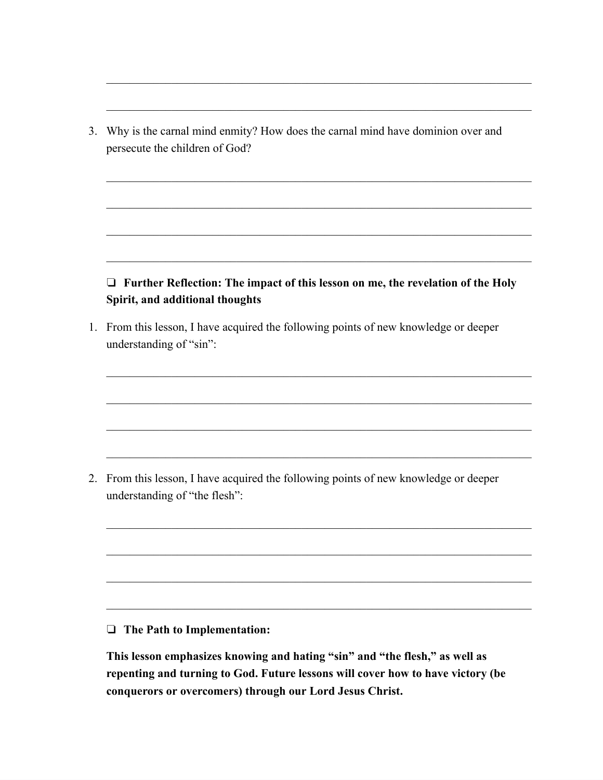3. Why is the carnal mind enmity? How does the carnal mind have dominion over and persecute the children of God?

### ❏ **Further Reflection: The impact of this lesson on me, the revelation of the Holy Spirit, and additional thoughts**

1. From this lesson, I have acquired the following points of new knowledge or deeper understanding of "sin":

2. From this lesson, I have acquired the following points of new knowledge or deeper understanding of "the flesh":

#### ❏ **The Path to Implementation:**

**This lesson emphasizes knowing and hating "sin" and "the flesh," as well as repenting and turning to God. Future lessons will cover how to have victory (be conquerors or overcomers) through our Lord Jesus Christ.**